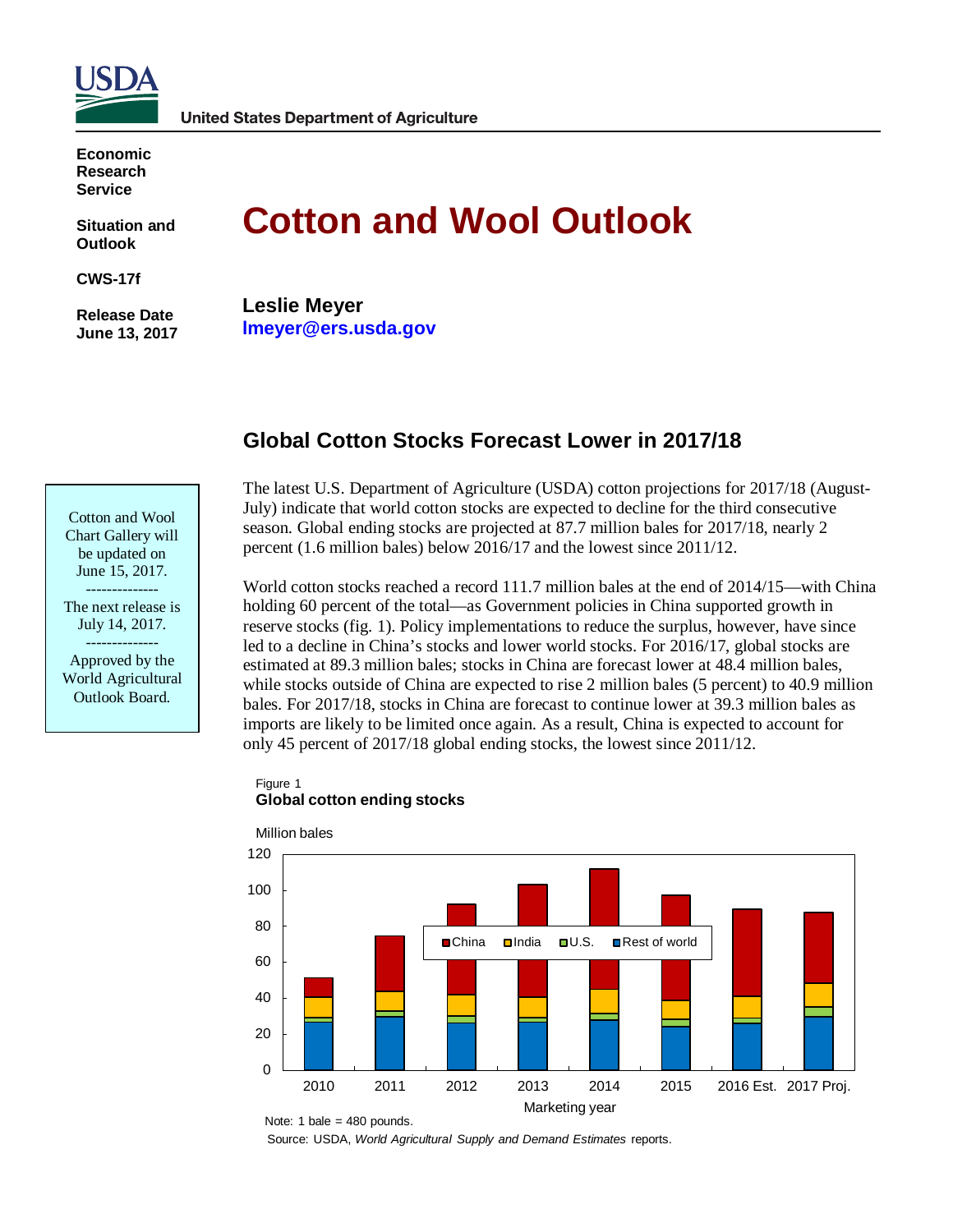

**Economic Research Service**

**Situation and Outlook**

**CWS-17f**

**Release Date June 13, 2017**

# **Cotton and Wool Outlook**

**Leslie Meyer lmeyer@ers.usda.gov**

# **Global Cotton Stocks Forecast Lower in 2017/18**

Cotton and Wool Chart Gallery will be updated on June 15, 2017. --------------

The next release is July 14, 2017.

-------------- Approved by the World Agricultural Outlook Board.

The latest U.S. Department of Agriculture (USDA) cotton projections for 2017/18 (August-July) indicate that world cotton stocks are expected to decline for the third consecutive season. Global ending stocks are projected at 87.7 million bales for 2017/18, nearly 2 percent (1.6 million bales) below 2016/17 and the lowest since 2011/12.

World cotton stocks reached a record 111.7 million bales at the end of 2014/15—with China holding 60 percent of the total—as Government policies in China supported growth in reserve stocks (fig. 1). Policy implementations to reduce the surplus, however, have since led to a decline in China's stocks and lower world stocks. For 2016/17, global stocks are estimated at 89.3 million bales; stocks in China are forecast lower at 48.4 million bales, while stocks outside of China are expected to rise 2 million bales (5 percent) to 40.9 million bales. For 2017/18, stocks in China are forecast to continue lower at 39.3 million bales as imports are likely to be limited once again. As a result, China is expected to account for only 45 percent of 2017/18 global ending stocks, the lowest since 2011/12.





Note: 1 bale =  $480$  pounds.

Source: USDA, *World Agricultural Supply and Demand Estimates* reports.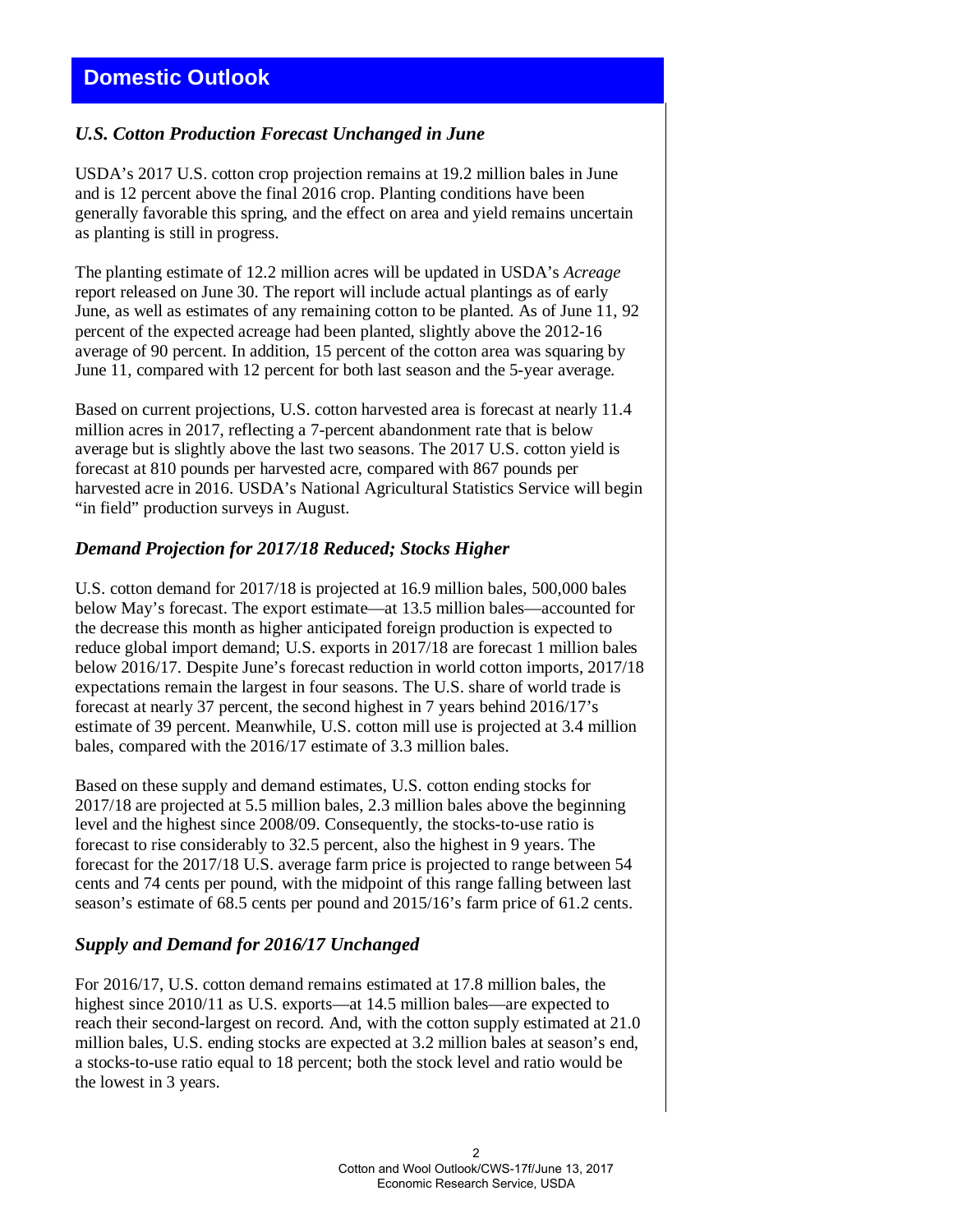# *U.S. Cotton Production Forecast Unchanged in June*

USDA's 2017 U.S. cotton crop projection remains at 19.2 million bales in June and is 12 percent above the final 2016 crop. Planting conditions have been generally favorable this spring, and the effect on area and yield remains uncertain as planting is still in progress.

The planting estimate of 12.2 million acres will be updated in USDA's *Acreage* report released on June 30. The report will include actual plantings as of early June, as well as estimates of any remaining cotton to be planted. As of June 11, 92 percent of the expected acreage had been planted, slightly above the 2012-16 average of 90 percent. In addition, 15 percent of the cotton area was squaring by June 11, compared with 12 percent for both last season and the 5-year average.

Based on current projections, U.S. cotton harvested area is forecast at nearly 11.4 million acres in 2017, reflecting a 7-percent abandonment rate that is below average but is slightly above the last two seasons. The 2017 U.S. cotton yield is forecast at 810 pounds per harvested acre, compared with 867 pounds per harvested acre in 2016. USDA's National Agricultural Statistics Service will begin "in field" production surveys in August.

# *Demand Projection for 2017/18 Reduced; Stocks Higher*

U.S. cotton demand for 2017/18 is projected at 16.9 million bales, 500,000 bales below May's forecast. The export estimate—at 13.5 million bales—accounted for the decrease this month as higher anticipated foreign production is expected to reduce global import demand; U.S. exports in 2017/18 are forecast 1 million bales below 2016/17. Despite June's forecast reduction in world cotton imports, 2017/18 expectations remain the largest in four seasons. The U.S. share of world trade is forecast at nearly 37 percent, the second highest in 7 years behind 2016/17's estimate of 39 percent. Meanwhile, U.S. cotton mill use is projected at 3.4 million bales, compared with the 2016/17 estimate of 3.3 million bales.

Based on these supply and demand estimates, U.S. cotton ending stocks for 2017/18 are projected at 5.5 million bales, 2.3 million bales above the beginning level and the highest since 2008/09. Consequently, the stocks-to-use ratio is forecast to rise considerably to 32.5 percent, also the highest in 9 years. The forecast for the 2017/18 U.S. average farm price is projected to range between 54 cents and 74 cents per pound, with the midpoint of this range falling between last season's estimate of 68.5 cents per pound and 2015/16's farm price of 61.2 cents.

### *Supply and Demand for 2016/17 Unchanged*

For 2016/17, U.S. cotton demand remains estimated at 17.8 million bales, the highest since 2010/11 as U.S. exports—at 14.5 million bales—are expected to reach their second-largest on record. And, with the cotton supply estimated at 21.0 million bales, U.S. ending stocks are expected at 3.2 million bales at season's end, a stocks-to-use ratio equal to 18 percent; both the stock level and ratio would be the lowest in 3 years.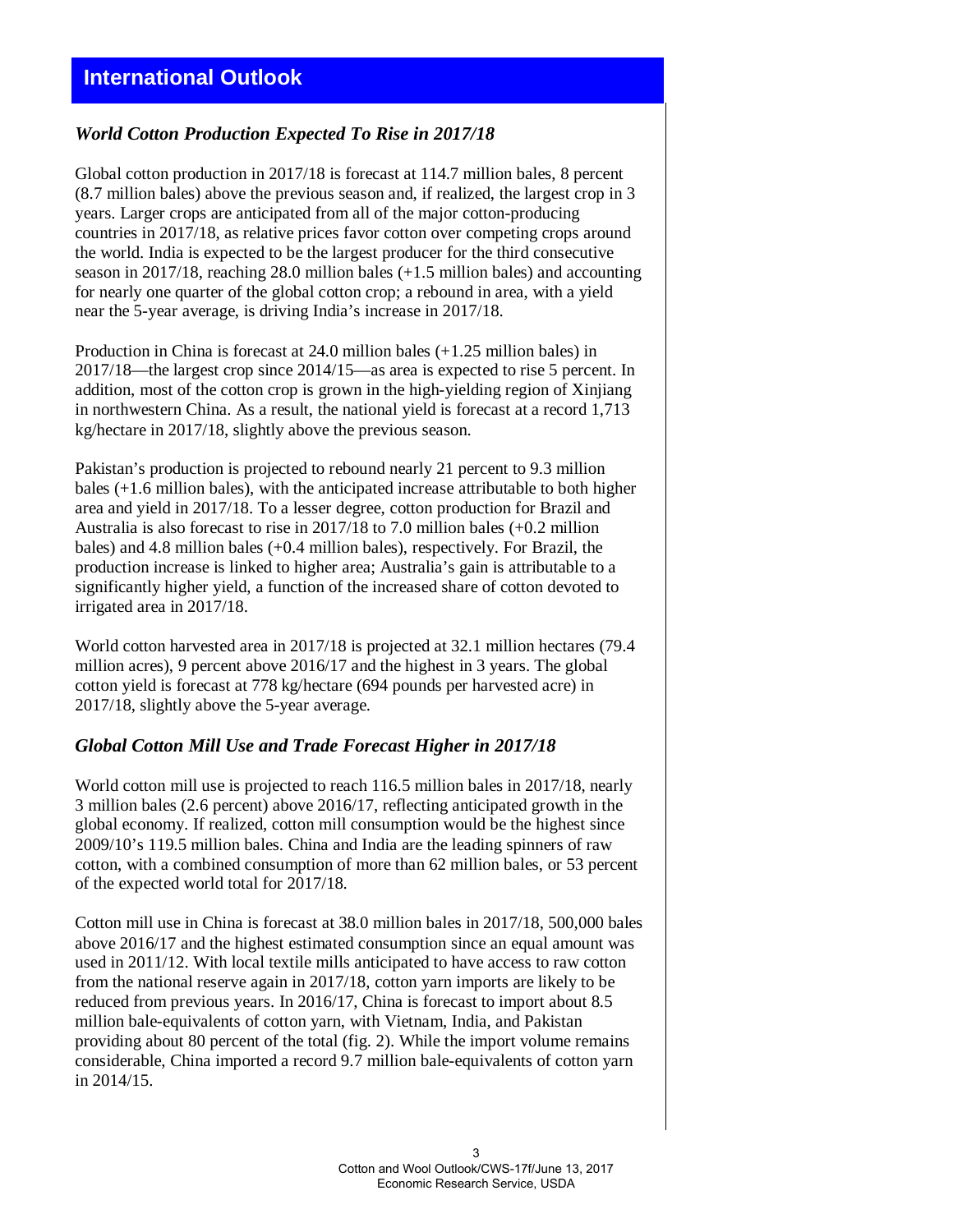# *World Cotton Production Expected To Rise in 2017/18*

Global cotton production in 2017/18 is forecast at 114.7 million bales, 8 percent (8.7 million bales) above the previous season and, if realized, the largest crop in 3 years. Larger crops are anticipated from all of the major cotton-producing countries in 2017/18, as relative prices favor cotton over competing crops around the world. India is expected to be the largest producer for the third consecutive season in 2017/18, reaching 28.0 million bales (+1.5 million bales) and accounting for nearly one quarter of the global cotton crop; a rebound in area, with a yield near the 5-year average, is driving India's increase in 2017/18.

Production in China is forecast at 24.0 million bales (+1.25 million bales) in 2017/18—the largest crop since 2014/15—as area is expected to rise 5 percent. In addition, most of the cotton crop is grown in the high-yielding region of Xinjiang in northwestern China. As a result, the national yield is forecast at a record 1,713 kg/hectare in 2017/18, slightly above the previous season.

Pakistan's production is projected to rebound nearly 21 percent to 9.3 million bales (+1.6 million bales), with the anticipated increase attributable to both higher area and yield in 2017/18. To a lesser degree, cotton production for Brazil and Australia is also forecast to rise in 2017/18 to 7.0 million bales (+0.2 million bales) and 4.8 million bales (+0.4 million bales), respectively. For Brazil, the production increase is linked to higher area; Australia's gain is attributable to a significantly higher yield, a function of the increased share of cotton devoted to irrigated area in 2017/18.

World cotton harvested area in 2017/18 is projected at 32.1 million hectares (79.4 million acres), 9 percent above 2016/17 and the highest in 3 years. The global cotton yield is forecast at 778 kg/hectare (694 pounds per harvested acre) in 2017/18, slightly above the 5-year average.

### *Global Cotton Mill Use and Trade Forecast Higher in 2017/18*

World cotton mill use is projected to reach 116.5 million bales in 2017/18, nearly 3 million bales (2.6 percent) above 2016/17, reflecting anticipated growth in the global economy. If realized, cotton mill consumption would be the highest since 2009/10's 119.5 million bales. China and India are the leading spinners of raw cotton, with a combined consumption of more than 62 million bales, or 53 percent of the expected world total for 2017/18.

Cotton mill use in China is forecast at 38.0 million bales in 2017/18, 500,000 bales above 2016/17 and the highest estimated consumption since an equal amount was used in 2011/12. With local textile mills anticipated to have access to raw cotton from the national reserve again in 2017/18, cotton yarn imports are likely to be reduced from previous years. In 2016/17, China is forecast to import about 8.5 million bale-equivalents of cotton yarn, with Vietnam, India, and Pakistan providing about 80 percent of the total (fig. 2). While the import volume remains considerable, China imported a record 9.7 million bale-equivalents of cotton yarn in 2014/15.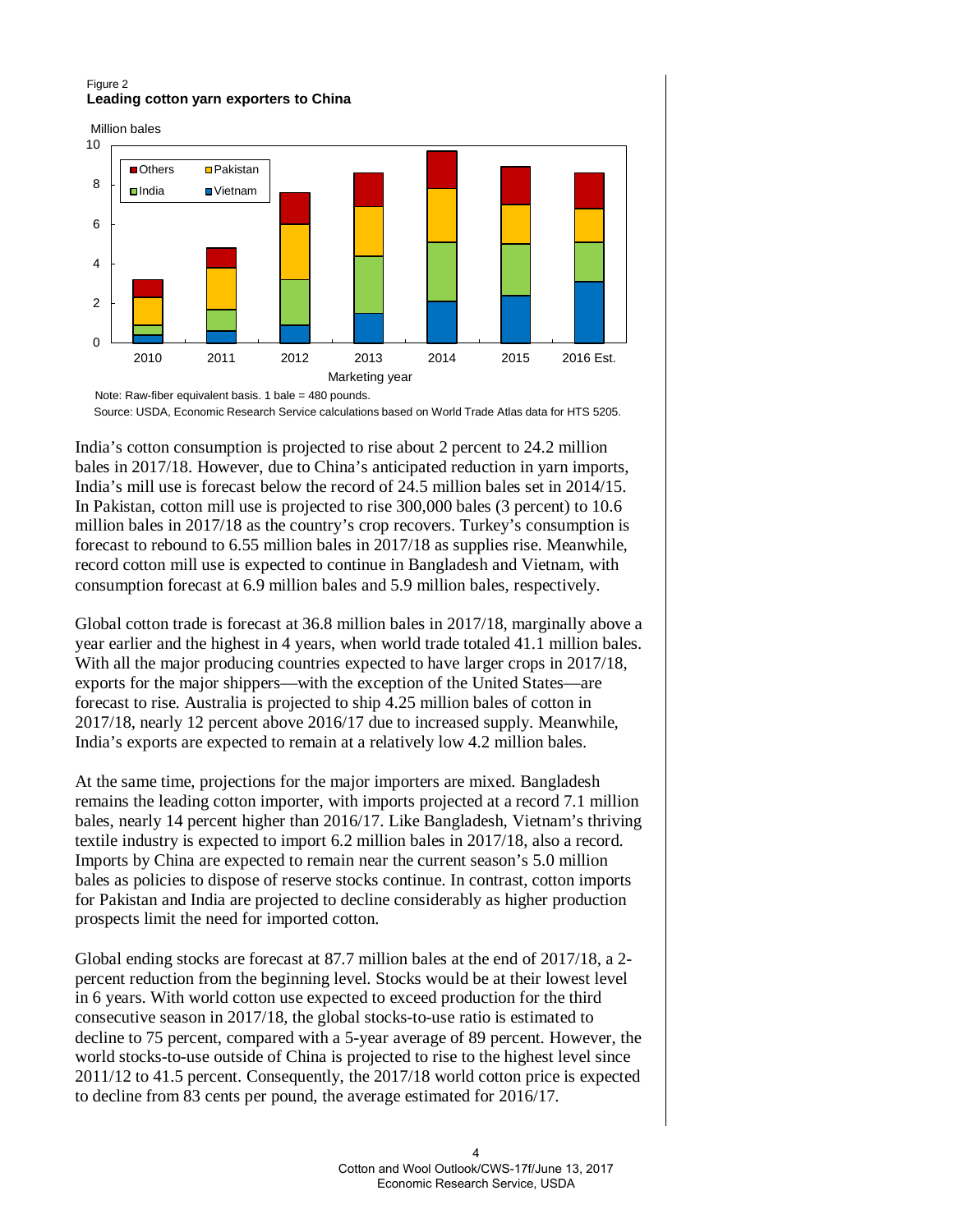### Figure 2 **Leading cotton yarn exporters to China**

Million bales



Source: USDA, Economic Research Service calculations based on World Trade Atlas data for HTS 5205.

India's cotton consumption is projected to rise about 2 percent to 24.2 million bales in 2017/18. However, due to China's anticipated reduction in yarn imports, India's mill use is forecast below the record of 24.5 million bales set in 2014/15. In Pakistan, cotton mill use is projected to rise 300,000 bales (3 percent) to 10.6 million bales in 2017/18 as the country's crop recovers. Turkey's consumption is forecast to rebound to 6.55 million bales in 2017/18 as supplies rise. Meanwhile, record cotton mill use is expected to continue in Bangladesh and Vietnam, with consumption forecast at 6.9 million bales and 5.9 million bales, respectively.

Global cotton trade is forecast at 36.8 million bales in 2017/18, marginally above a year earlier and the highest in 4 years, when world trade totaled 41.1 million bales. With all the major producing countries expected to have larger crops in 2017/18, exports for the major shippers—with the exception of the United States—are forecast to rise. Australia is projected to ship 4.25 million bales of cotton in 2017/18, nearly 12 percent above 2016/17 due to increased supply. Meanwhile, India's exports are expected to remain at a relatively low 4.2 million bales.

At the same time, projections for the major importers are mixed. Bangladesh remains the leading cotton importer, with imports projected at a record 7.1 million bales, nearly 14 percent higher than 2016/17. Like Bangladesh, Vietnam's thriving textile industry is expected to import 6.2 million bales in 2017/18, also a record. Imports by China are expected to remain near the current season's 5.0 million bales as policies to dispose of reserve stocks continue. In contrast, cotton imports for Pakistan and India are projected to decline considerably as higher production prospects limit the need for imported cotton.

Global ending stocks are forecast at 87.7 million bales at the end of 2017/18, a 2 percent reduction from the beginning level. Stocks would be at their lowest level in 6 years. With world cotton use expected to exceed production for the third consecutive season in 2017/18, the global stocks-to-use ratio is estimated to decline to 75 percent, compared with a 5-year average of 89 percent. However, the world stocks-to-use outside of China is projected to rise to the highest level since 2011/12 to 41.5 percent. Consequently, the 2017/18 world cotton price is expected to decline from 83 cents per pound, the average estimated for 2016/17.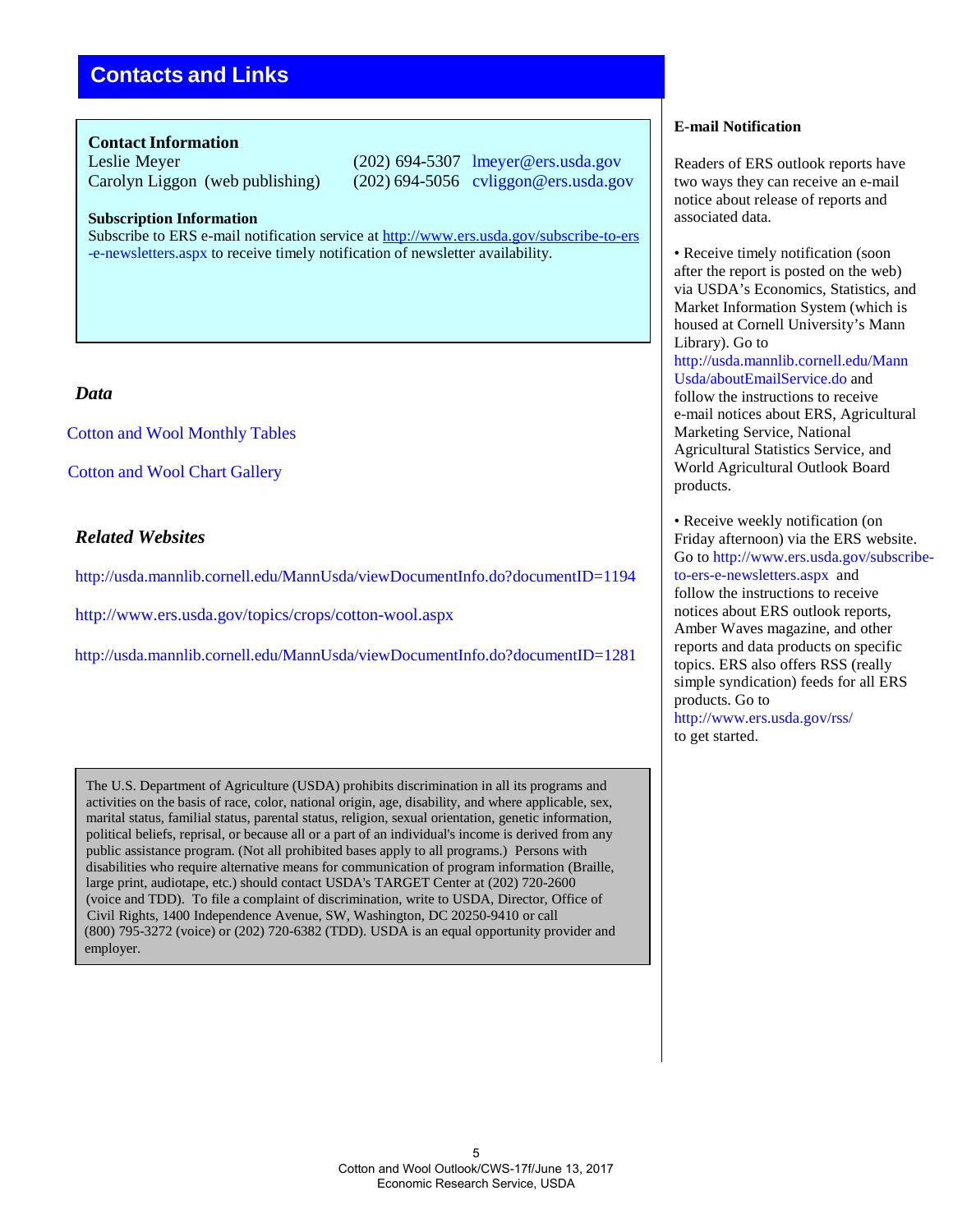# **Contacts and Links**

### **Contact Information**

Leslie Meyer (202) 694-5307 lmeyer@ers.usda.gov Carolyn Liggon (web publishing) (202) 694-5056 cvliggon@ers.usda.gov

**Subscription Information**

Subscribe to ERS e-mail notification service at <http://www.ers.usda.gov/subscribe-to-ers> [-e-newsletters.aspx t](http://www.ers.usda.gov/subscribe-to-ers-e-newsletters.aspx)o receive timely notification of newsletter availability.

## *Data*

Cotton and [Wool Monthly Tables](http://ers.usda.gov/publications/cws-cotton-and-wool-outlook)

[Cotton and Wool Chart](http://www.ers.usda.gov/data-products/cotton-and-%20wool-chart-gallery.aspx#.UguTC6z8J8E) Gallery

## *Related Websites*

<http://usda.mannlib.cornell.edu/MannUsda/viewDocumentInfo.do?documentID=1194>

<http://www.ers.usda.gov/topics/crops/cotton-wool.aspx>

<http://usda.mannlib.cornell.edu/MannUsda/viewDocumentInfo.do?documentID=1281>

The U.S. Department of Agriculture (USDA) prohibits discrimination in all its programs and activities on the basis of race, color, national origin, age, disability, and where applicable, sex, marital status, familial status, parental status, religion, sexual orientation, genetic information, political beliefs, reprisal, or because all or a part of an individual's income is derived from any public assistance program. (Not all prohibited bases apply to all programs.) Persons with disabilities who require alternative means for communication of program information (Braille, large print, audiotape, etc.) should contact USDA's TARGET Center at (202) 720-2600 (voice and TDD). To file a complaint of discrimination, write to USDA, Director, Office of Civil Rights, 1400 Independence Avenue, SW, Washington, DC 20250-9410 or call (800) 795-3272 (voice) or (202) 720-6382 (TDD). USDA is an equal opportunity provider and employer.

#### **E-mail Notification**

Readers of ERS outlook reports have two ways they can receive an e-mail notice about release of reports and associated data.

• Receive timely notification (soon) after the report is posted on the web) via USDA's Economics, Statistics, and Market Information System (which is housed at Cornell University's Mann Library). Go to [http://usda.mannlib.cornell.edu/Mann](http://usda.mannlib.cornell.edu/MannUsda/aboutEmailService.do) [Usda/aboutEmailService.do a](http://usda.mannlib.cornell.edu/MannUsda/aboutEmailService.do)nd follow the instructions to receive e-mail notices about ERS, Agricultural Marketing Service, National Agricultural Statistics Service, and World Agricultural Outlook Board products.

• Receive weekly notification (on Friday afternoon) via the ERS website. Go to [http://www.ers.usda.gov/subscribe](http://www.ers.usda.gov/subscribe-)to-ers-e-newsletters.aspx and follow the instructions to receive notices about ERS outlook reports, Amber Waves magazine, and other reports and data products on specific topics. ERS also offers RSS (really simple syndication) feeds for all ERS products. Go to <http://www.ers.usda.gov/rss/> to get started.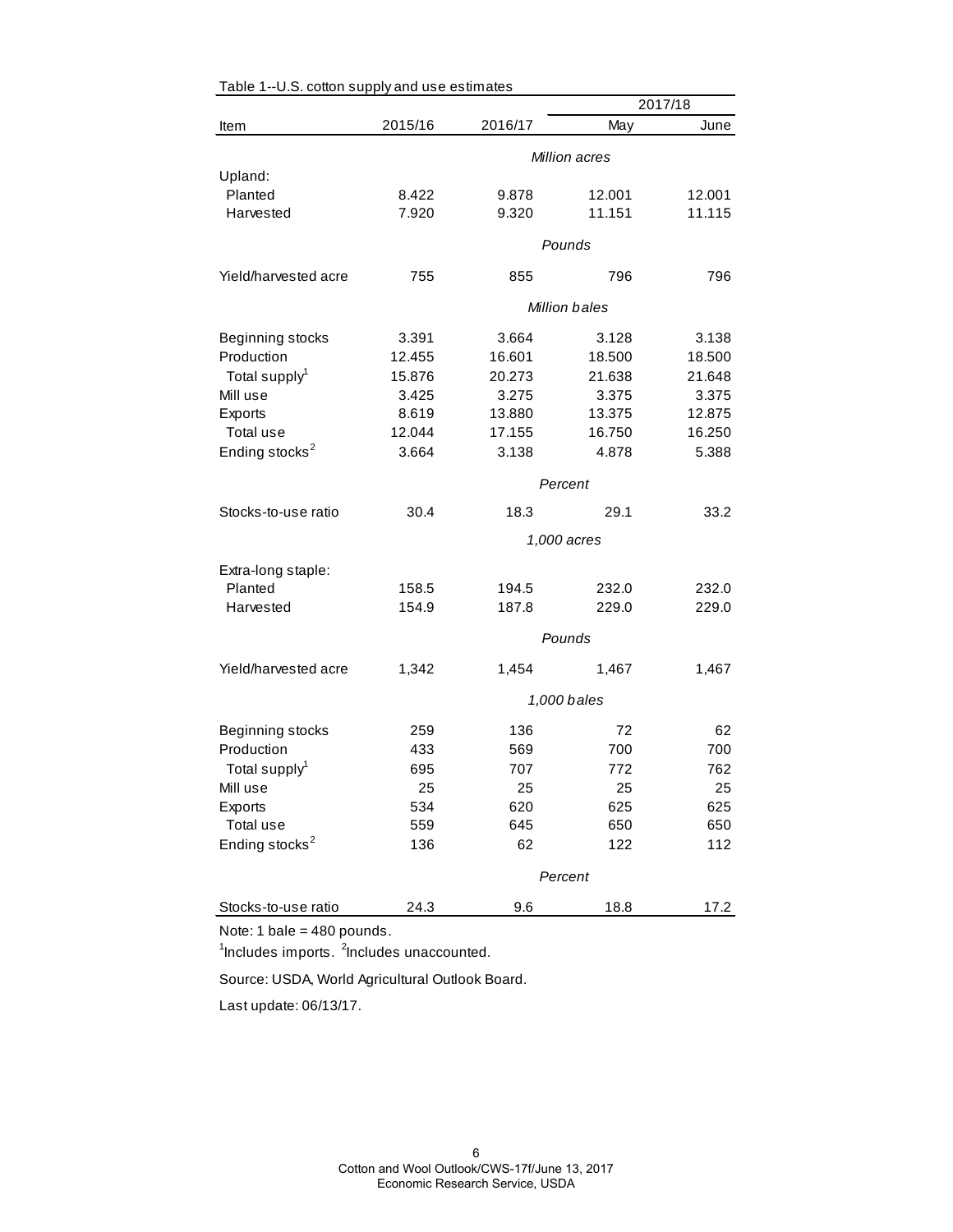| ,, oo worr o ap            | 2017/18     |         |                      |        |  |
|----------------------------|-------------|---------|----------------------|--------|--|
| Item                       | 2015/16     | 2016/17 | May                  | June   |  |
|                            |             |         | Million acres        |        |  |
| Upland:                    |             |         |                      |        |  |
| Planted                    | 8.422       | 9.878   | 12.001               | 12.001 |  |
| Harvested                  | 7.920       | 9.320   | 11.151               | 11.115 |  |
|                            |             |         | Pounds               |        |  |
|                            |             |         |                      |        |  |
| Yield/harvested acre       | 755         | 855     | 796                  | 796    |  |
|                            |             |         | <b>Million bales</b> |        |  |
| Beginning stocks           | 3.391       | 3.664   | 3.128                | 3.138  |  |
| Production                 | 12.455      | 16.601  | 18.500               | 18.500 |  |
| Total supply <sup>1</sup>  | 15.876      | 20.273  | 21.638               | 21.648 |  |
| Mill use                   | 3.425       | 3.275   | 3.375                | 3.375  |  |
| Exports                    | 8.619       | 13.880  | 13.375               | 12.875 |  |
| Total use                  | 12.044      | 17.155  | 16.750               | 16.250 |  |
| Ending stocks <sup>2</sup> | 3.664       | 3.138   | 4.878                | 5.388  |  |
|                            |             |         | Percent              |        |  |
| Stocks-to-use ratio        | 30.4        | 18.3    | 29.1                 | 33.2   |  |
|                            |             |         | 1,000 acres          |        |  |
| Extra-long staple:         |             |         |                      |        |  |
| Planted                    | 158.5       | 194.5   | 232.0                | 232.0  |  |
| Harvested                  | 154.9       | 187.8   | 229.0                | 229.0  |  |
|                            |             |         | Pounds               |        |  |
|                            |             |         |                      |        |  |
| Yield/harvested acre       | 1,342       | 1,454   | 1,467                | 1,467  |  |
|                            | 1,000 bales |         |                      |        |  |
| Beginning stocks           | 259         | 136     | 72                   | 62     |  |
| Production                 | 433         | 569     | 700                  | 700    |  |
| Total supply <sup>1</sup>  | 695         | 707     | 772                  | 762    |  |
| Mill use                   | 25          | 25      | 25                   | 25     |  |
| Exports                    | 534         | 620     | 625                  | 625    |  |
| Total use                  | 559         | 645     | 650                  | 650    |  |
| Ending stocks <sup>2</sup> | 136         | 62      | 122                  | 112    |  |
|                            |             |         | Percent              |        |  |
| Stocks-to-use ratio        | 24.3        | 9.6     | 18.8                 | 17.2   |  |

### Table 1--U.S. cotton supply and use estimates

Note: 1 bale = 480 pounds.

<sup>1</sup>Includes imports. <sup>2</sup>Includes unaccounted.

Source: USDA, World Agricultural Outlook Board.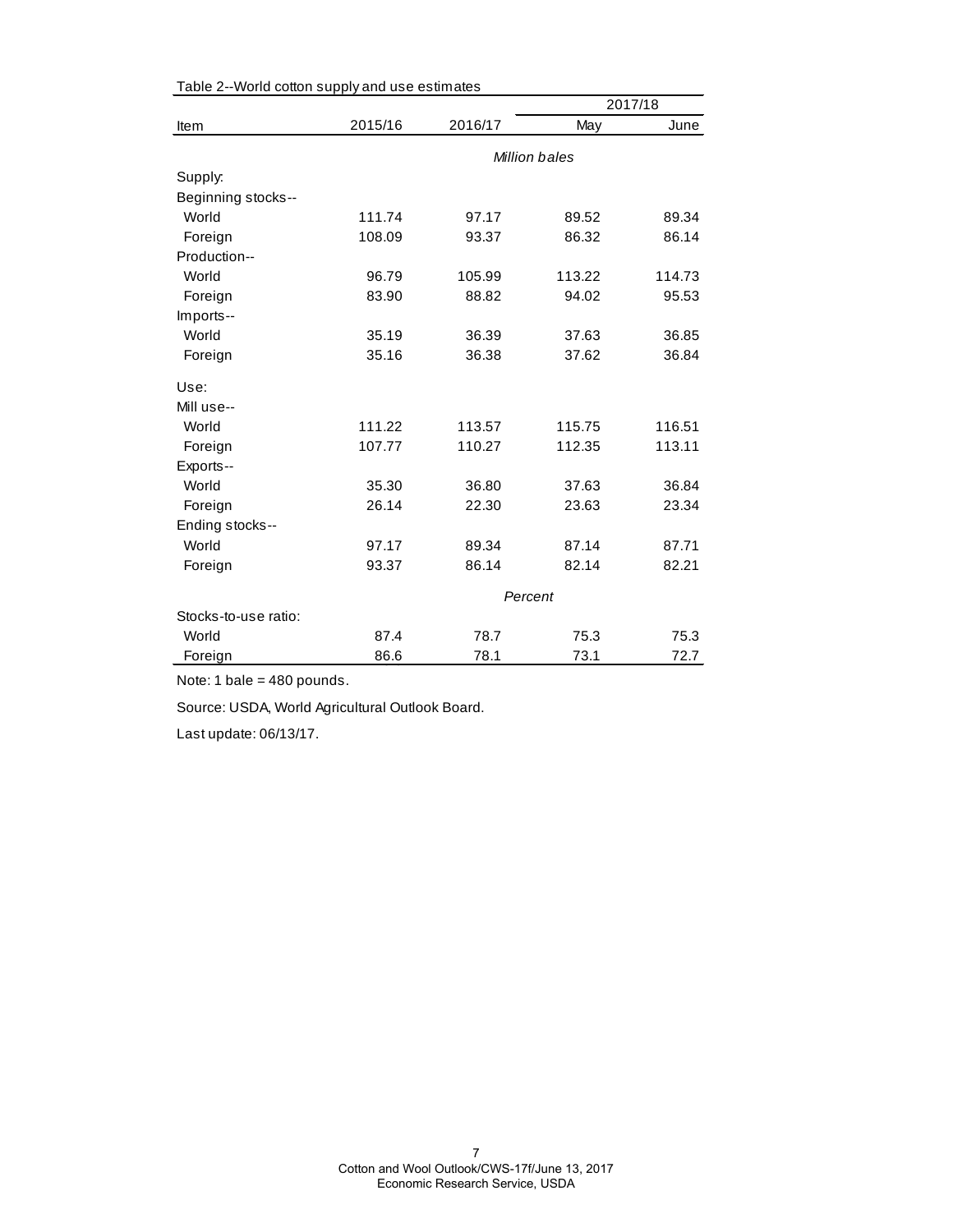|                      |         | 2017/18 |               |        |
|----------------------|---------|---------|---------------|--------|
| Item                 | 2015/16 | 2016/17 | May           | June   |
|                      |         |         | Million bales |        |
| Supply:              |         |         |               |        |
| Beginning stocks--   |         |         |               |        |
| World                | 111.74  | 97.17   | 89.52         | 89.34  |
| Foreign              | 108.09  | 93.37   | 86.32         | 86.14  |
| Production--         |         |         |               |        |
| World                | 96.79   | 105.99  | 113.22        | 114.73 |
| Foreign              | 83.90   | 88.82   | 94.02         | 95.53  |
| Imports--            |         |         |               |        |
| World                | 35.19   | 36.39   | 37.63         | 36.85  |
| Foreign              | 35.16   | 36.38   | 37.62         | 36.84  |
| Use:                 |         |         |               |        |
| Mill use--           |         |         |               |        |
| World                | 111.22  | 113.57  | 115.75        | 116.51 |
| Foreign              | 107.77  | 110.27  | 112.35        | 113.11 |
| Exports--            |         |         |               |        |
| World                | 35.30   | 36.80   | 37.63         | 36.84  |
| Foreign              | 26.14   | 22.30   | 23.63         | 23.34  |
| Ending stocks--      |         |         |               |        |
| World                | 97.17   | 89.34   | 87.14         | 87.71  |
| Foreign              | 93.37   | 86.14   | 82.14         | 82.21  |
|                      | Percent |         |               |        |
| Stocks-to-use ratio: |         |         |               |        |
| World                | 87.4    | 78.7    | 75.3          | 75.3   |
| Foreign              | 86.6    | 78.1    | 73.1          | 72.7   |

Table 2--World cotton supply and use estimates

Note: 1 bale = 480 pounds.

Source: USDA, World Agricultural Outlook Board.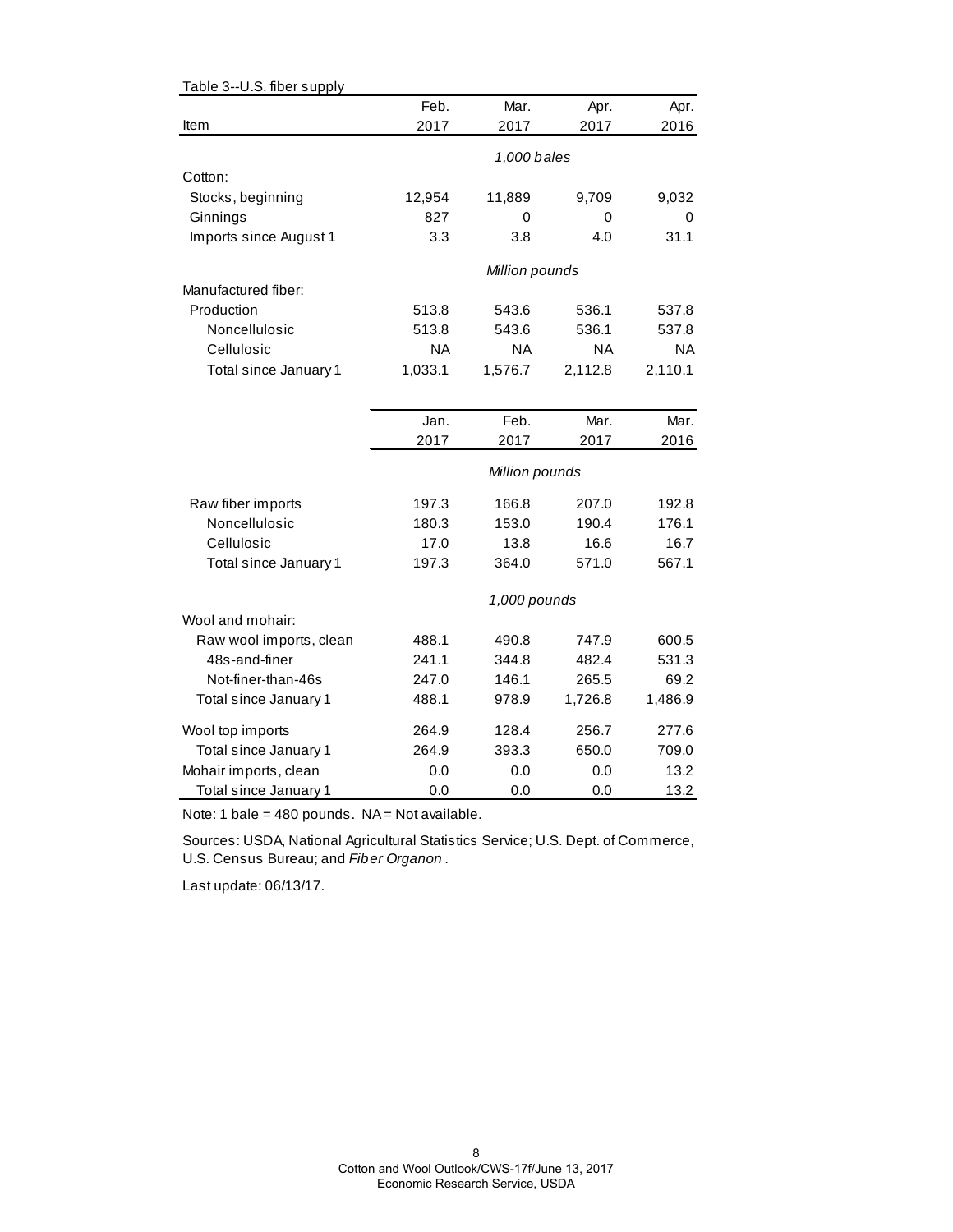| Table 3--U.S. fiber supply |           |                |           |           |
|----------------------------|-----------|----------------|-----------|-----------|
|                            | Feb.      | Mar.           | Apr.      | Apr.      |
| Item                       | 2017      | 2017           | 2017      | 2016      |
|                            |           | 1,000 bales    |           |           |
| Cotton:                    |           |                |           |           |
| Stocks, beginning          | 12,954    | 11,889         | 9,709     | 9,032     |
| Ginnings                   | 827       | 0              | 0         | 0         |
| Imports since August 1     | 3.3       | 3.8            | 4.0       | 31.1      |
|                            |           |                |           |           |
|                            |           | Million pounds |           |           |
| Manufactured fiber:        |           |                |           |           |
| Production                 | 513.8     | 543.6          | 536.1     | 537.8     |
| Noncellulosic              | 513.8     | 543.6          | 536.1     | 537.8     |
| Cellulosic                 | <b>NA</b> | NA             | <b>NA</b> | <b>NA</b> |
| Total since January 1      | 1,033.1   | 1,576.7        | 2,112.8   | 2,110.1   |
|                            |           |                |           |           |
|                            | Jan.      | Feb.           | Mar.      | Mar.      |
|                            | 2017      | 2017           | 2017      | 2016      |
|                            |           |                |           |           |
|                            |           | Million pounds |           |           |
| Raw fiber imports          | 197.3     | 166.8          | 207.0     | 192.8     |
| Noncellulosic              | 180.3     | 153.0          | 190.4     | 176.1     |
| Cellulosic                 | 17.0      | 13.8           | 16.6      | 16.7      |
| Total since January 1      | 197.3     | 364.0          | 571.0     | 567.1     |
|                            |           | 1,000 pounds   |           |           |
| Wool and mohair:           |           |                |           |           |
| Raw wool imports, clean    | 488.1     | 490.8          | 747.9     | 600.5     |
| 48s-and-finer              | 241.1     | 344.8          | 482.4     | 531.3     |
| Not-finer-than-46s         | 247.0     | 146.1          | 265.5     | 69.2      |
| Total since January 1      | 488.1     | 978.9          | 1,726.8   | 1,486.9   |
| Wool top imports           | 264.9     | 128.4          | 256.7     | 277.6     |
| Total since January 1      | 264.9     | 393.3          | 650.0     | 709.0     |
| Mohair imports, clean      | 0.0       | 0.0            | 0.0       | 13.2      |
| Total since January 1      | 0.0       | 0.0            | 0.0       | 13.2      |

Note: 1 bale = 480 pounds.  $NA = Not available$ .

Sources: USDA, National Agricultural Statistics Service; U.S. Dept. of Commerce, U.S. Census Bureau; and *Fiber Organon* .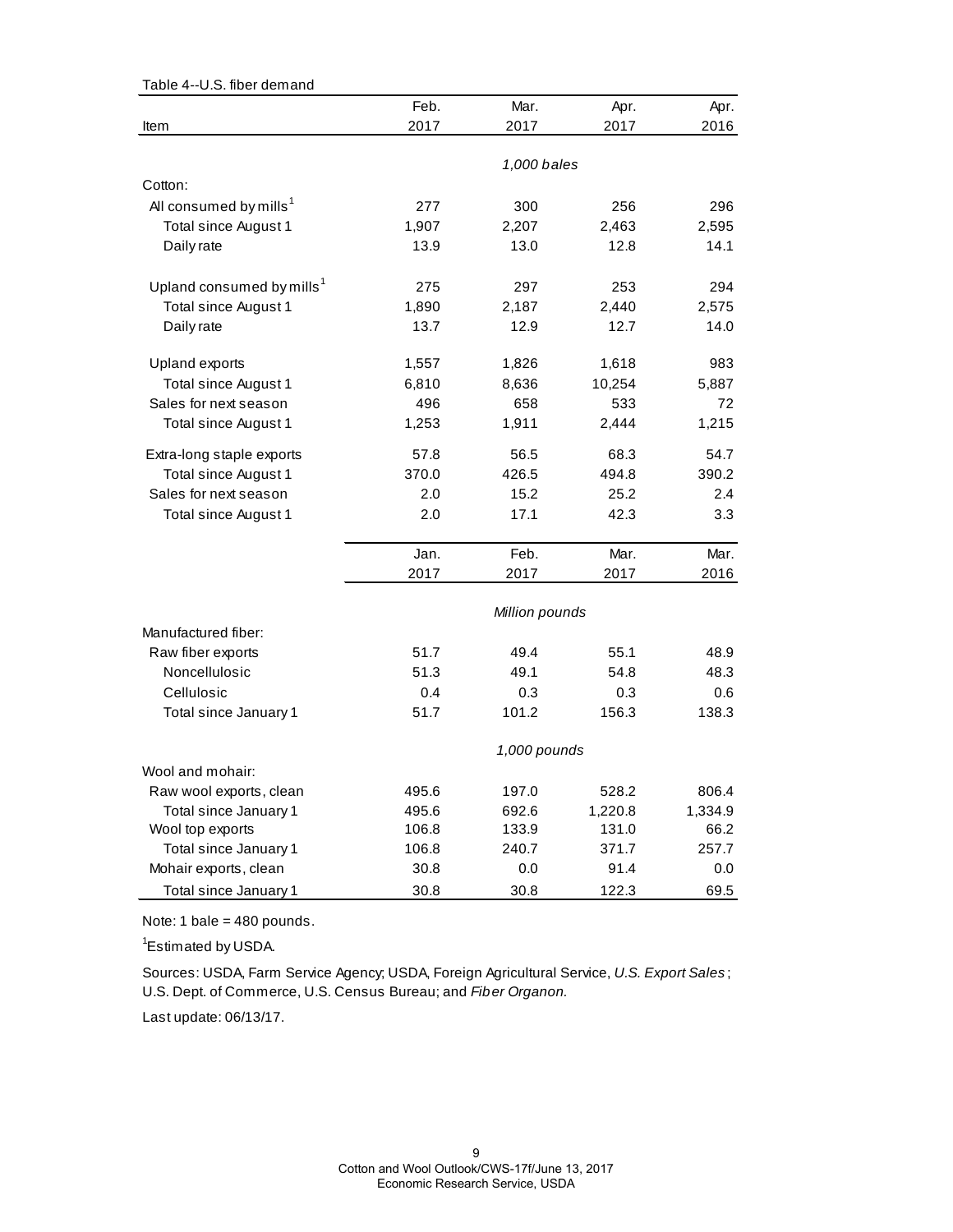| Table 4--U.S. fiber demand            |       |                |         |         |
|---------------------------------------|-------|----------------|---------|---------|
|                                       | Feb.  | Mar.           | Apr.    | Apr.    |
| Item                                  | 2017  | 2017           | 2017    | 2016    |
|                                       |       |                |         |         |
|                                       |       | 1,000 bales    |         |         |
| Cotton:                               |       |                |         |         |
| All consumed by mills <sup>1</sup>    | 277   | 300            | 256     | 296     |
| Total since August 1                  | 1,907 | 2,207          | 2,463   | 2,595   |
| Daily rate                            | 13.9  | 13.0           | 12.8    | 14.1    |
| Upland consumed by mills <sup>1</sup> | 275   | 297            | 253     | 294     |
| Total since August 1                  | 1,890 | 2,187          | 2,440   | 2,575   |
| Daily rate                            | 13.7  | 12.9           | 12.7    | 14.0    |
| Upland exports                        | 1,557 | 1,826          | 1,618   | 983     |
| Total since August 1                  | 6,810 | 8,636          | 10,254  | 5,887   |
| Sales for next season                 | 496   | 658            | 533     | 72      |
| Total since August 1                  | 1,253 | 1,911          | 2,444   | 1,215   |
|                                       |       |                |         |         |
| Extra-long staple exports             | 57.8  | 56.5           | 68.3    | 54.7    |
| Total since August 1                  | 370.0 | 426.5          | 494.8   | 390.2   |
| Sales for next season                 | 2.0   | 15.2           | 25.2    | 2.4     |
| Total since August 1                  | 2.0   | 17.1           | 42.3    | 3.3     |
|                                       | Jan.  | Feb.           | Mar.    | Mar.    |
|                                       | 2017  | 2017           | 2017    | 2016    |
|                                       |       | Million pounds |         |         |
| Manufactured fiber:                   |       |                |         |         |
| Raw fiber exports                     | 51.7  | 49.4           | 55.1    | 48.9    |
| Noncellulosic                         | 51.3  | 49.1           | 54.8    | 48.3    |
| Cellulosic                            | 0.4   | 0.3            | 0.3     | 0.6     |
| Total since January 1                 | 51.7  | 101.2          | 156.3   | 138.3   |
|                                       |       | 1,000 pounds   |         |         |
| Wool and mohair:                      |       |                |         |         |
| Raw wool exports, clean               | 495.6 | 197.0          | 528.2   | 806.4   |
| Total since January 1                 | 495.6 | 692.6          | 1,220.8 | 1,334.9 |
| Wool top exports                      | 106.8 | 133.9          | 131.0   | 66.2    |
| Total since January 1                 | 106.8 | 240.7          | 371.7   | 257.7   |
| Mohair exports, clean                 | 30.8  | 0.0            | 91.4    | 0.0     |
| Total since January 1                 | 30.8  | 30.8           | 122.3   | 69.5    |

Note: 1 bale = 480 pounds.

<sup>1</sup>Estimated by USDA.

Sources: USDA, Farm Service Agency; USDA, Foreign Agricultural Service, *U.S. Export Sales* ; U.S. Dept. of Commerce, U.S. Census Bureau; and *Fiber Organon.*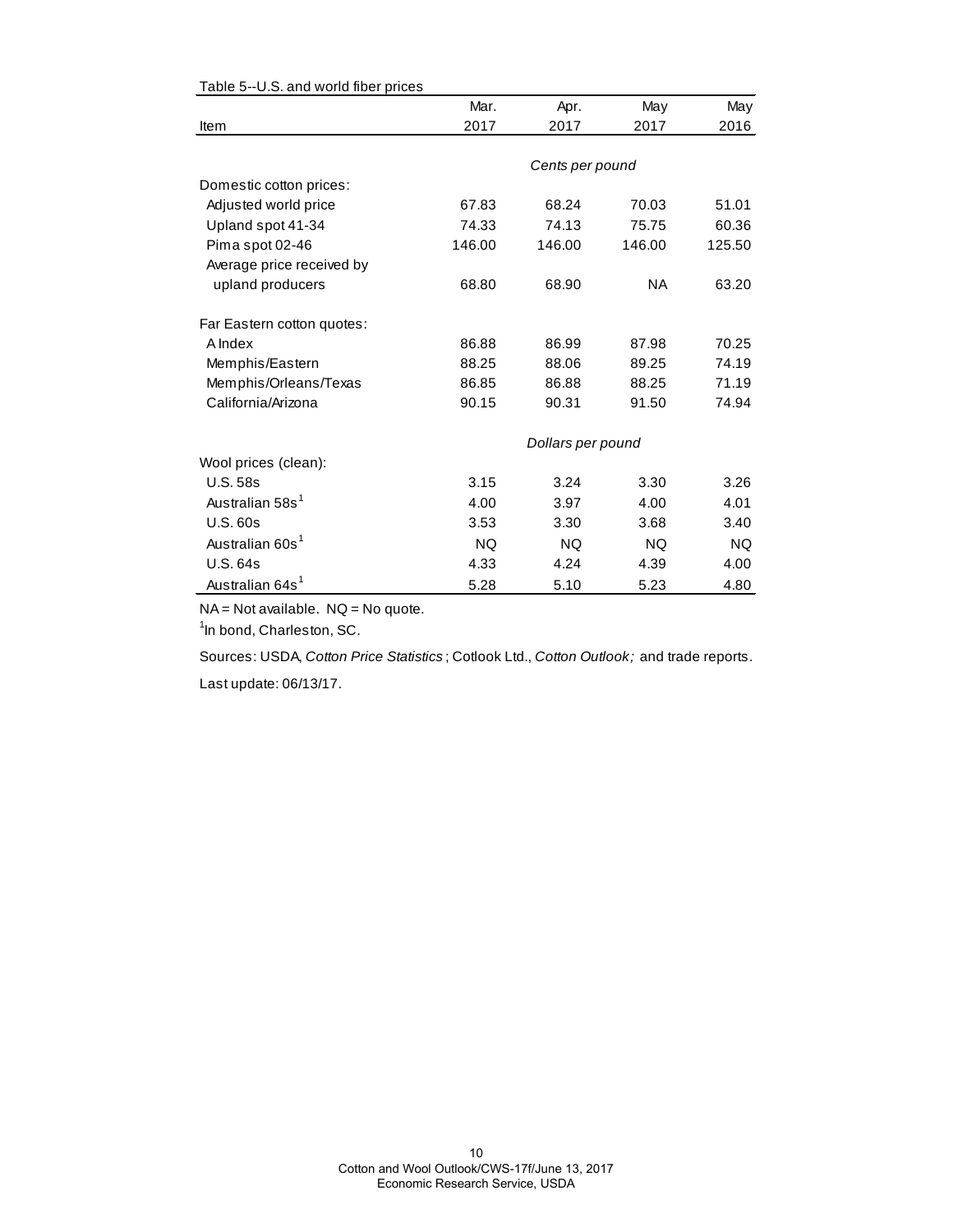|                             | Mar.      | Apr.              | May       | May    |
|-----------------------------|-----------|-------------------|-----------|--------|
| Item                        | 2017      | 2017              | 2017      | 2016   |
|                             |           |                   |           |        |
|                             |           | Cents per pound   |           |        |
| Domestic cotton prices:     |           |                   |           |        |
| Adjusted world price        | 67.83     | 68.24             | 70.03     | 51.01  |
| Upland spot 41-34           | 74.33     | 74.13             | 75.75     | 60.36  |
| Pima spot 02-46             | 146.00    | 146.00            | 146.00    | 125.50 |
| Average price received by   |           |                   |           |        |
| upland producers            | 68.80     | 68.90             | NA.       | 63.20  |
| Far Eastern cotton quotes:  |           |                   |           |        |
| A Index                     | 86.88     | 86.99             | 87.98     | 70.25  |
| Memphis/Eastern             | 88.25     | 88.06             | 89.25     | 74.19  |
| Memphis/Orleans/Texas       | 86.85     | 86.88             | 88.25     | 71.19  |
| California/Arizona          | 90.15     | 90.31             | 91.50     | 74.94  |
|                             |           | Dollars per pound |           |        |
| Wool prices (clean):        |           |                   |           |        |
| <b>U.S. 58s</b>             | 3.15      | 3.24              | 3.30      | 3.26   |
| Australian 58s <sup>1</sup> | 4.00      | 3.97              | 4.00      | 4.01   |
| <b>U.S. 60s</b>             | 3.53      | 3.30              | 3.68      | 3.40   |
| Australian 60s <sup>1</sup> | <b>NQ</b> | <b>NQ</b>         | <b>NQ</b> | NQ.    |
| <b>U.S. 64s</b>             | 4.33      | 4.24              | 4.39      | 4.00   |
| Australian 64s <sup>1</sup> | 5.28      | 5.10              | 5.23      | 4.80   |

### Table 5--U.S. and world fiber prices

NA = Not available. NQ = No quote.

<sup>1</sup>In bond, Charleston, SC.

Sources: USDA, *Cotton Price Statistics* ; Cotlook Ltd., *Cotton Outlook;* and trade reports.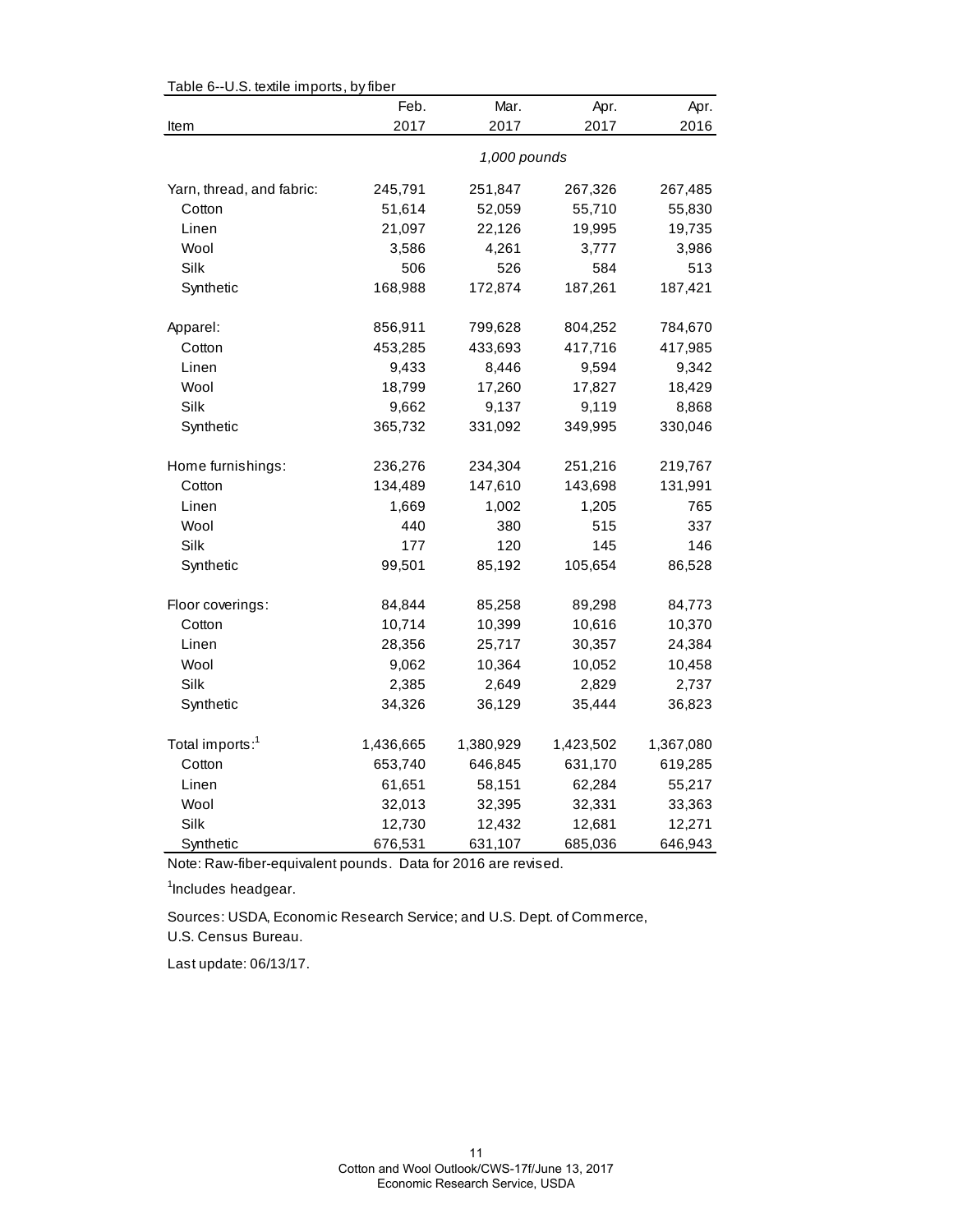| rable 6--0.5. textile imports, by liber | Feb.         | Mar.      | Apr.      | Apr.      |  |
|-----------------------------------------|--------------|-----------|-----------|-----------|--|
| Item                                    | 2017         | 2017      | 2017      | 2016      |  |
|                                         | 1,000 pounds |           |           |           |  |
| Yarn, thread, and fabric:               | 245,791      | 251,847   | 267,326   | 267,485   |  |
| Cotton                                  | 51,614       | 52,059    | 55,710    | 55,830    |  |
| Linen                                   | 21,097       | 22,126    | 19,995    | 19,735    |  |
| Wool                                    | 3,586        | 4,261     | 3,777     | 3,986     |  |
| Silk                                    | 506          | 526       | 584       | 513       |  |
| Synthetic                               | 168,988      | 172,874   | 187,261   | 187,421   |  |
| Apparel:                                | 856,911      | 799,628   | 804,252   | 784,670   |  |
| Cotton                                  | 453,285      | 433,693   | 417,716   | 417,985   |  |
| Linen                                   | 9,433        | 8,446     | 9,594     | 9,342     |  |
| Wool                                    | 18,799       | 17,260    | 17,827    | 18,429    |  |
| Silk                                    | 9,662        | 9,137     | 9,119     | 8,868     |  |
| Synthetic                               | 365,732      | 331,092   | 349,995   | 330,046   |  |
| Home furnishings:                       | 236,276      | 234,304   | 251,216   | 219,767   |  |
| Cotton                                  | 134,489      | 147,610   | 143,698   | 131,991   |  |
| Linen                                   | 1,669        | 1,002     | 1,205     | 765       |  |
| Wool                                    | 440          | 380       | 515       | 337       |  |
| Silk                                    | 177          | 120       | 145       | 146       |  |
| Synthetic                               | 99,501       | 85,192    | 105,654   | 86,528    |  |
| Floor coverings:                        | 84,844       | 85,258    | 89,298    | 84,773    |  |
| Cotton                                  | 10,714       | 10,399    | 10,616    | 10,370    |  |
| Linen                                   | 28,356       | 25,717    | 30,357    | 24,384    |  |
| Wool                                    | 9,062        | 10,364    | 10,052    | 10,458    |  |
| Silk                                    | 2,385        | 2,649     | 2,829     | 2,737     |  |
| Synthetic                               | 34,326       | 36,129    | 35,444    | 36,823    |  |
| Total imports: <sup>1</sup>             | 1,436,665    | 1,380,929 | 1,423,502 | 1,367,080 |  |
| Cotton                                  | 653,740      | 646,845   | 631,170   | 619,285   |  |
| Linen                                   | 61,651       | 58,151    | 62,284    | 55,217    |  |
| Wool                                    | 32,013       | 32,395    | 32,331    | 33,363    |  |
| Silk                                    | 12,730       | 12,432    | 12,681    | 12,271    |  |
| Synthetic                               | 676,531      | 631,107   | 685,036   | 646,943   |  |

 $Table 6-11$ . S. textile importe, by fiber

Note: Raw-fiber-equivalent pounds. Data for 2016 are revised.

<sup>1</sup>Includes headgear.

U.S. Census Bureau. Sources: USDA, Economic Research Service; and U.S. Dept. of Commerce,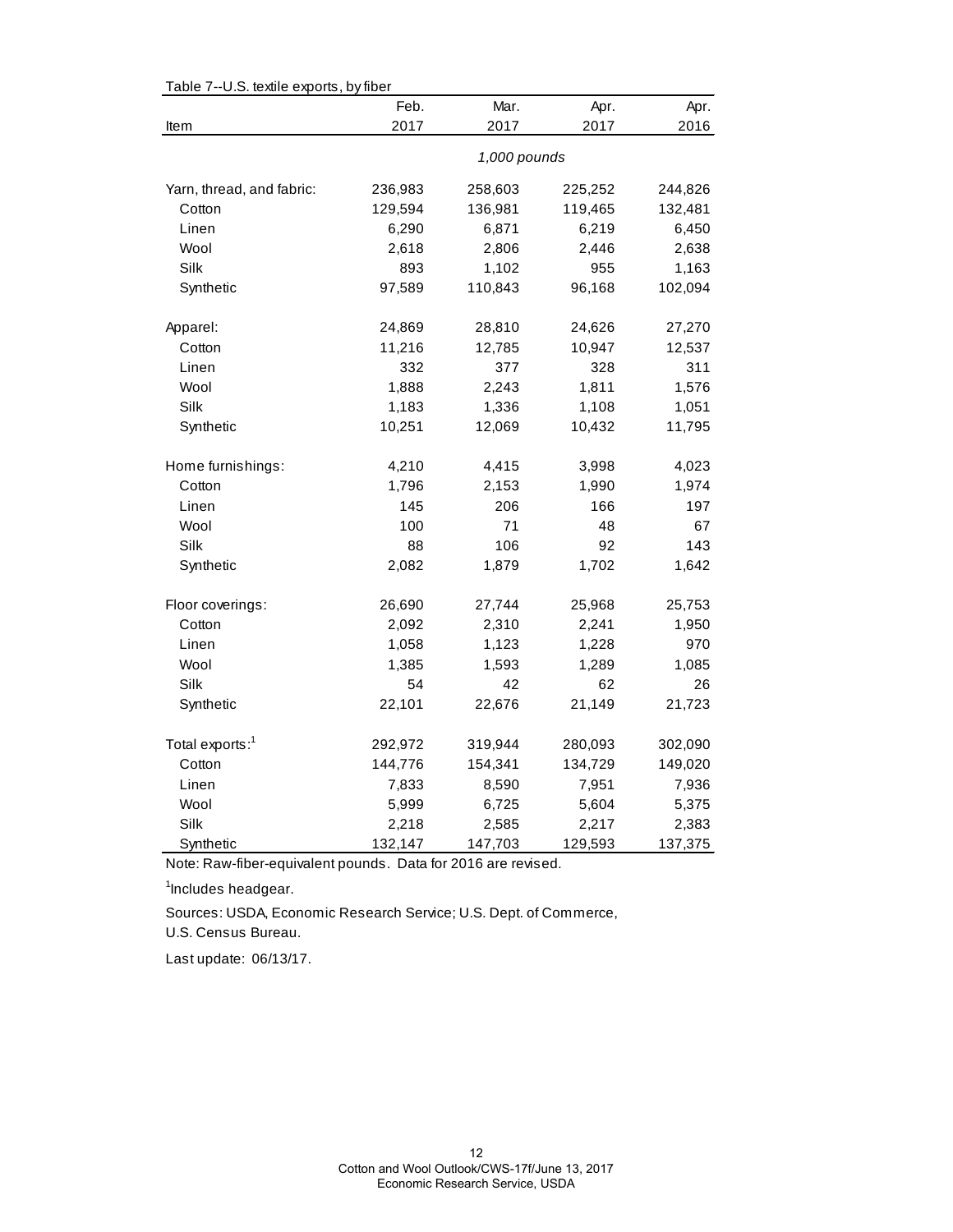| Table 7--0.5. textile exports, by liber | Feb.         | Mar.    | Apr.    | Apr.    |  |
|-----------------------------------------|--------------|---------|---------|---------|--|
| Item                                    | 2017         | 2017    | 2017    | 2016    |  |
|                                         | 1,000 pounds |         |         |         |  |
| Yarn, thread, and fabric:               | 236,983      | 258,603 | 225,252 | 244,826 |  |
| Cotton                                  | 129,594      | 136,981 | 119,465 | 132,481 |  |
| Linen                                   | 6,290        | 6,871   | 6,219   | 6,450   |  |
| Wool                                    | 2,618        | 2,806   | 2,446   | 2,638   |  |
| Silk                                    | 893          | 1,102   | 955     | 1,163   |  |
| Synthetic                               | 97,589       | 110,843 | 96,168  | 102,094 |  |
| Apparel:                                | 24,869       | 28,810  | 24,626  | 27,270  |  |
| Cotton                                  | 11,216       | 12,785  | 10,947  | 12,537  |  |
| Linen                                   | 332          | 377     | 328     | 311     |  |
| Wool                                    | 1,888        | 2,243   | 1,811   | 1,576   |  |
| Silk                                    | 1,183        | 1,336   | 1,108   | 1,051   |  |
| Synthetic                               | 10,251       | 12,069  | 10,432  | 11,795  |  |
| Home furnishings:                       | 4,210        | 4,415   | 3,998   | 4,023   |  |
| Cotton                                  | 1,796        | 2,153   | 1,990   | 1,974   |  |
| Linen                                   | 145          | 206     | 166     | 197     |  |
| Wool                                    | 100          | 71      | 48      | 67      |  |
| Silk                                    | 88           | 106     | 92      | 143     |  |
| Synthetic                               | 2,082        | 1,879   | 1,702   | 1,642   |  |
| Floor coverings:                        | 26,690       | 27,744  | 25,968  | 25,753  |  |
| Cotton                                  | 2,092        | 2,310   | 2,241   | 1,950   |  |
| Linen                                   | 1,058        | 1,123   | 1,228   | 970     |  |
| Wool                                    | 1,385        | 1,593   | 1,289   | 1,085   |  |
| Silk                                    | 54           | 42      | 62      | 26      |  |
| Synthetic                               | 22,101       | 22,676  | 21,149  | 21,723  |  |
| Total exports: <sup>1</sup>             | 292,972      | 319,944 | 280,093 | 302,090 |  |
| Cotton                                  | 144,776      | 154,341 | 134,729 | 149,020 |  |
| Linen                                   | 7,833        | 8,590   | 7,951   | 7,936   |  |
| Wool                                    | 5,999        | 6,725   | 5,604   | 5,375   |  |
| Silk                                    | 2,218        | 2,585   | 2,217   | 2,383   |  |
| Synthetic                               | 132,147      | 147,703 | 129,593 | 137,375 |  |

Table 7--U.S. textile exports, by fiber

Note: Raw-fiber-equivalent pounds. Data for 2016 are revised.

<sup>1</sup>Includes headgear.

Sources: USDA, Economic Research Service; U.S. Dept. of Commerce,

U.S. Census Bureau.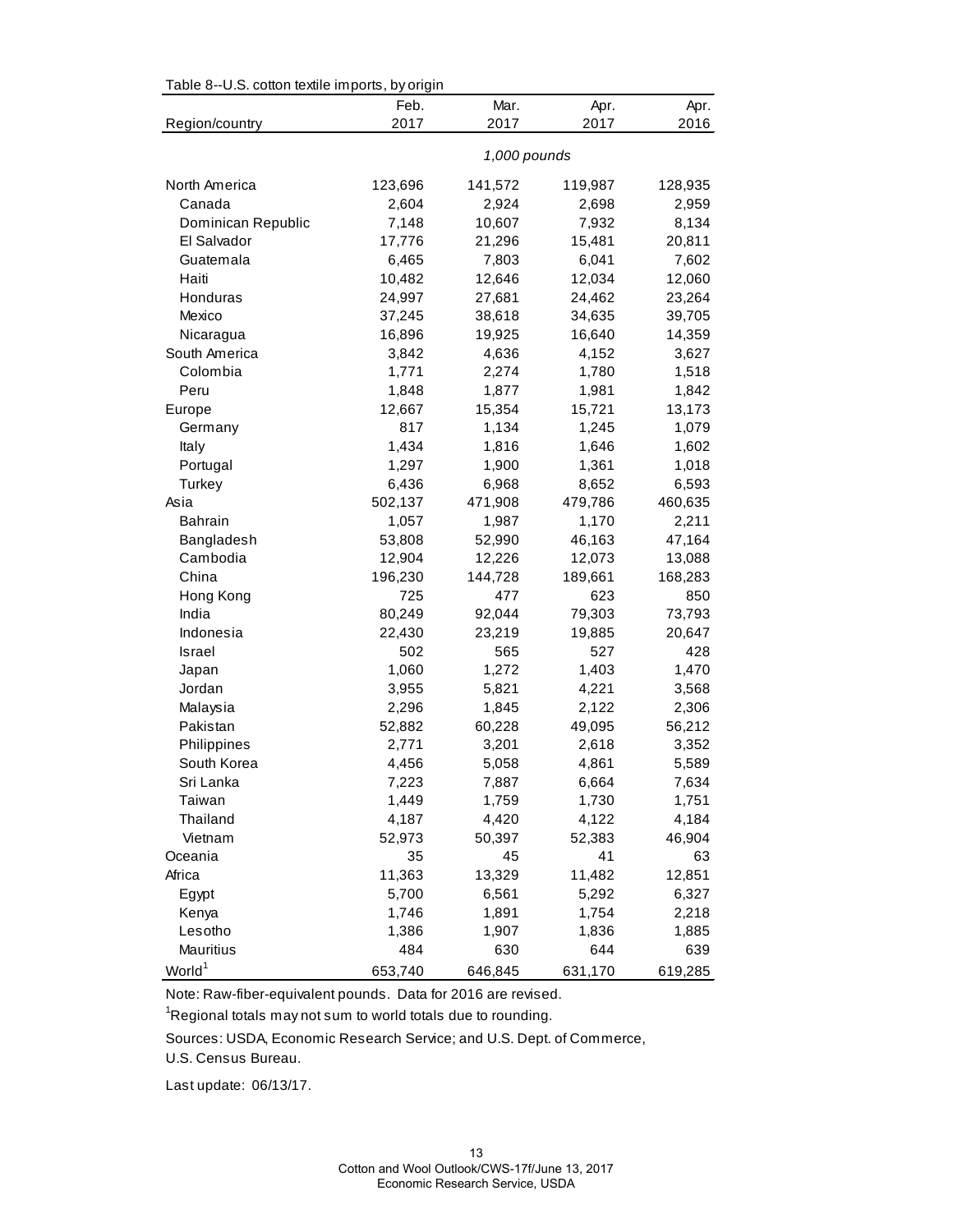| Table 8--U.S. cotton textile imports, by origin |              |         |         |         |  |
|-------------------------------------------------|--------------|---------|---------|---------|--|
|                                                 | Feb.         | Mar.    | Apr.    | Apr.    |  |
| Region/country                                  | 2017         | 2017    | 2017    | 2016    |  |
|                                                 | 1,000 pounds |         |         |         |  |
| North America                                   | 123,696      | 141,572 | 119,987 | 128,935 |  |
| Canada                                          | 2,604        | 2,924   | 2,698   | 2,959   |  |
| Dominican Republic                              | 7,148        | 10,607  | 7,932   | 8,134   |  |
| El Salvador                                     | 17,776       | 21,296  | 15,481  | 20,811  |  |
| Guatemala                                       | 6,465        | 7,803   | 6,041   | 7,602   |  |
| Haiti                                           | 10,482       | 12,646  | 12,034  | 12,060  |  |
| Honduras                                        | 24,997       | 27,681  | 24,462  | 23,264  |  |
| Mexico                                          | 37,245       | 38,618  | 34,635  | 39,705  |  |
| Nicaragua                                       | 16,896       | 19,925  | 16,640  | 14,359  |  |
| South America                                   | 3,842        | 4,636   | 4,152   | 3,627   |  |
| Colombia                                        | 1,771        | 2,274   | 1,780   | 1,518   |  |
| Peru                                            | 1,848        | 1,877   | 1,981   | 1,842   |  |
| Europe                                          | 12,667       | 15,354  | 15,721  | 13,173  |  |
| Germany                                         | 817          | 1,134   | 1,245   | 1,079   |  |
| Italy                                           | 1,434        | 1,816   | 1,646   | 1,602   |  |
| Portugal                                        | 1,297        | 1,900   | 1,361   | 1,018   |  |
| Turkey                                          | 6,436        | 6,968   | 8,652   | 6,593   |  |
| Asia                                            | 502,137      | 471,908 | 479,786 | 460,635 |  |
| <b>Bahrain</b>                                  | 1,057        | 1,987   | 1,170   | 2,211   |  |
| Bangladesh                                      | 53,808       | 52,990  | 46,163  | 47,164  |  |
| Cambodia                                        | 12,904       | 12,226  | 12,073  | 13,088  |  |
| China                                           | 196,230      | 144,728 | 189,661 | 168,283 |  |
| Hong Kong                                       | 725          | 477     | 623     | 850     |  |
| India                                           | 80,249       | 92,044  | 79,303  | 73,793  |  |
| Indonesia                                       | 22,430       | 23,219  | 19,885  | 20,647  |  |
| <b>Israel</b>                                   | 502          | 565     | 527     | 428     |  |
| Japan                                           | 1,060        | 1,272   | 1,403   | 1,470   |  |
| Jordan                                          | 3,955        | 5,821   | 4,221   | 3,568   |  |
| Malaysia                                        | 2,296        | 1,845   | 2,122   | 2,306   |  |
| Pakistan                                        | 52,882       | 60,228  | 49,095  | 56,212  |  |
| Philippines                                     | 2,771        | 3,201   | 2,618   | 3,352   |  |
| South Korea                                     | 4,456        | 5,058   | 4,861   | 5,589   |  |
| Sri Lanka                                       | 7,223        | 7,887   | 6,664   | 7,634   |  |
| Taiwan                                          | 1,449        | 1,759   | 1,730   | 1,751   |  |
| Thailand                                        | 4,187        | 4,420   | 4,122   | 4,184   |  |
| Vietnam                                         | 52,973       | 50,397  | 52,383  | 46,904  |  |
| Oceania                                         | 35           | 45      | 41      | 63      |  |
| Africa                                          | 11,363       | 13,329  | 11,482  | 12,851  |  |
| Egypt                                           | 5,700        | 6,561   | 5,292   | 6,327   |  |
| Kenya                                           | 1,746        | 1,891   | 1,754   | 2,218   |  |
| Lesotho                                         | 1,386        | 1,907   | 1,836   | 1,885   |  |
| Mauritius                                       | 484          | 630     | 644     | 639     |  |
| World <sup>1</sup>                              | 653,740      | 646,845 | 631,170 | 619,285 |  |

Table 8--U.S. cotton textile imports, by origin

Note: Raw-fiber-equivalent pounds. Data for 2016 are revised.

<sup>1</sup>Regional totals may not sum to world totals due to rounding.

Sources: USDA, Economic Research Service; and U.S. Dept. of Commerce,

U.S. Census Bureau.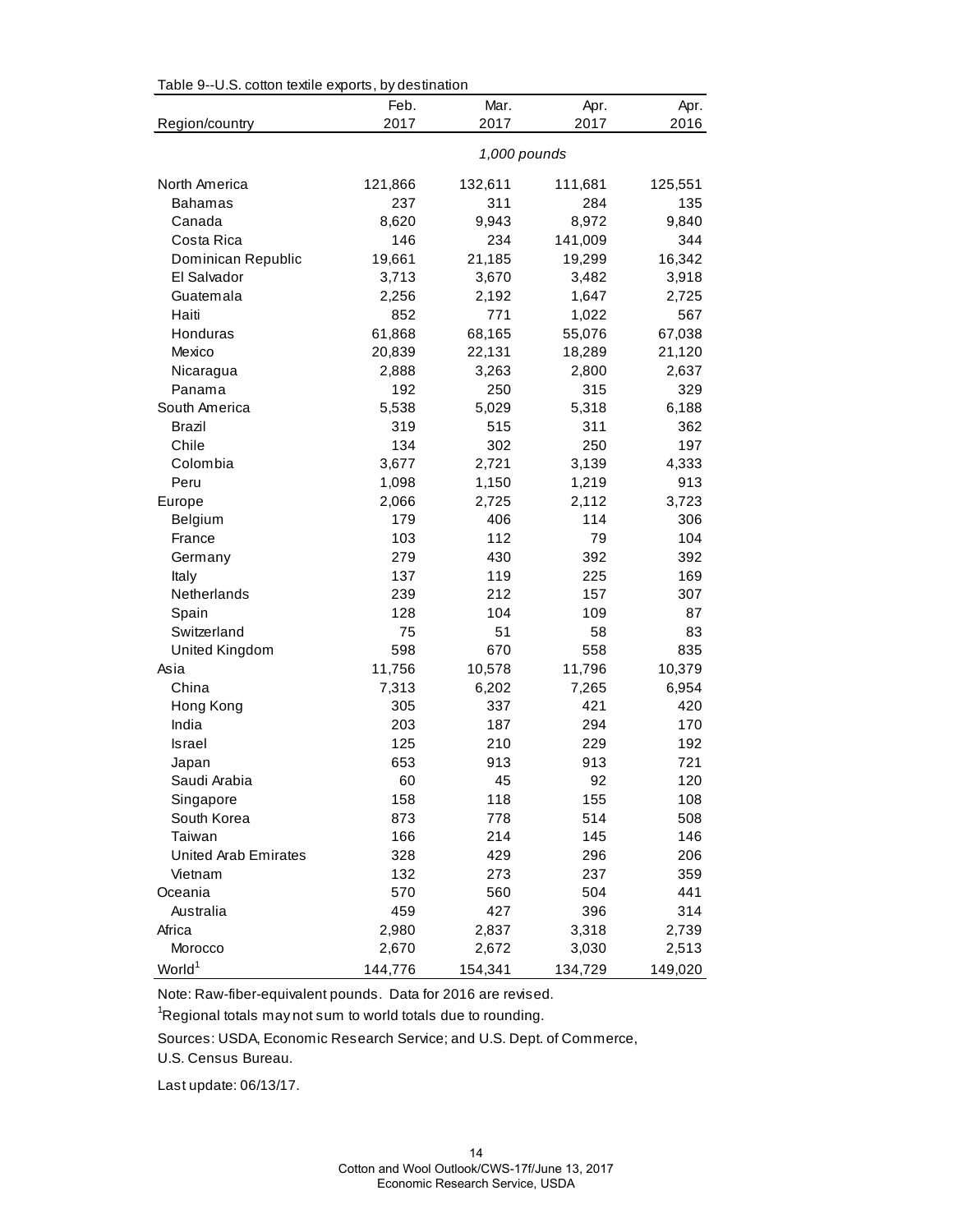| rable 9--0.5. Collon lexine exports, by destination |              |         |         |         |  |
|-----------------------------------------------------|--------------|---------|---------|---------|--|
|                                                     | Feb.         | Mar.    | Apr.    | Apr.    |  |
| Region/country                                      | 2017         | 2017    | 2017    | 2016    |  |
|                                                     | 1,000 pounds |         |         |         |  |
| North America                                       | 121,866      | 132,611 | 111,681 | 125,551 |  |
| <b>Bahamas</b>                                      | 237          | 311     | 284     | 135     |  |
| Canada                                              | 8,620        | 9,943   | 8,972   | 9,840   |  |
| Costa Rica                                          | 146          | 234     | 141,009 | 344     |  |
| Dominican Republic                                  | 19,661       | 21,185  | 19,299  | 16,342  |  |
| El Salvador                                         | 3,713        | 3,670   | 3,482   | 3,918   |  |
| Guatemala                                           | 2,256        | 2,192   | 1,647   | 2,725   |  |
| Haiti                                               | 852          | 771     | 1,022   | 567     |  |
| Honduras                                            | 61,868       | 68,165  | 55,076  | 67,038  |  |
| Mexico                                              | 20,839       | 22,131  | 18,289  | 21,120  |  |
| Nicaragua                                           | 2,888        | 3,263   | 2,800   | 2,637   |  |
| Panama                                              | 192          | 250     | 315     | 329     |  |
| South America                                       | 5,538        | 5,029   | 5,318   | 6,188   |  |
| <b>Brazil</b>                                       | 319          | 515     | 311     | 362     |  |
| Chile                                               | 134          | 302     | 250     | 197     |  |
| Colombia                                            | 3,677        | 2,721   | 3,139   | 4,333   |  |
| Peru                                                | 1,098        | 1,150   | 1,219   | 913     |  |
| Europe                                              | 2,066        | 2,725   | 2,112   | 3,723   |  |
| Belgium                                             | 179          | 406     | 114     | 306     |  |
| France                                              | 103          | 112     | 79      | 104     |  |
| Germany                                             | 279          | 430     | 392     | 392     |  |
| Italy                                               | 137          | 119     | 225     | 169     |  |
| Netherlands                                         | 239          | 212     | 157     | 307     |  |
| Spain                                               | 128          | 104     | 109     | 87      |  |
| Switzerland                                         | 75           | 51      | 58      | 83      |  |
| United Kingdom                                      | 598          | 670     | 558     | 835     |  |
| Asia                                                | 11,756       | 10,578  | 11,796  | 10,379  |  |
| China                                               | 7,313        | 6,202   | 7,265   | 6,954   |  |
| Hong Kong                                           | 305          | 337     | 421     | 420     |  |
| India                                               | 203          | 187     | 294     | 170     |  |
| Israel                                              | 125          | 210     | 229     | 192     |  |
| Japan                                               | 653          | 913     | 913     | 721     |  |
| Saudi Arabia                                        | 60           | 45      | 92      | 120     |  |
| Singapore                                           | 158          | 118     | 155     | 108     |  |
| South Korea                                         | 873          | 778     | 514     | 508     |  |
| Taiwan                                              | 166          | 214     | 145     | 146     |  |
| United Arab Emirates                                | 328          | 429     | 296     | 206     |  |
| Vietnam                                             | 132          | 273     | 237     | 359     |  |
| Oceania                                             | 570          | 560     | 504     | 441     |  |
| Australia                                           | 459          | 427     | 396     | 314     |  |
| Africa                                              | 2,980        | 2,837   | 3,318   | 2,739   |  |
| Morocco                                             | 2,670        | 2,672   | 3,030   | 2,513   |  |
| World <sup>1</sup>                                  | 144,776      | 154,341 | 134,729 | 149,020 |  |

Table 9--U.S. cotton textile exports, by destination

Note: Raw-fiber-equivalent pounds. Data for 2016 are revised.

 ${}^{1}$ Regional totals may not sum to world totals due to rounding.

Sources: USDA, Economic Research Service; and U.S. Dept. of Commerce,

U.S. Census Bureau.